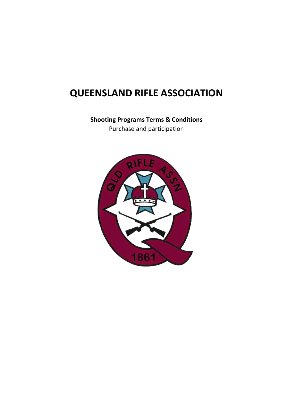# **QUEENSLAND RIFLE ASSOCIATION**

**Shooting Programs Terms & Conditions** Purchase and participation

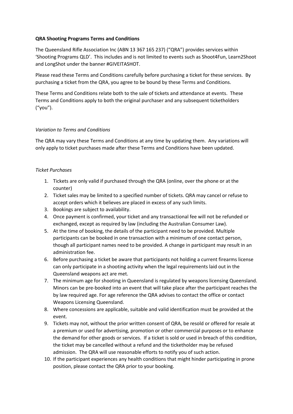## **QRA Shooting Programs Terms and Conditions**

The Queensland Rifle Association Inc (ABN 13 367 165 237) ("QRA") provides services within 'Shooting Programs QLD'. This includes and is not limited to events such as Shoot4Fun, Learn2Shoot and LongShot under the banner #GIVEITASHOT.

Please read these Terms and Conditions carefully before purchasing a ticket for these services. By purchasing a ticket from the QRA, you agree to be bound by these Terms and Conditions.

These Terms and Conditions relate both to the sale of tickets and attendance at events. These Terms and Conditions apply to both the original purchaser and any subsequent ticketholders ("you").

## *Variation to Terms and Conditions*

The QRA may vary these Terms and Conditions at any time by updating them. Any variations will only apply to ticket purchases made after these Terms and Conditions have been updated.

## *Ticket Purchases*

- 1. Tickets are only valid if purchased through the QRA (online, over the phone or at the counter)
- 2. Ticket sales may be limited to a specified number of tickets. QRA may cancel or refuse to accept orders which it believes are placed in excess of any such limits.
- 3. Bookings are subject to availability.
- 4. Once payment is confirmed, your ticket and any transactional fee will not be refunded or exchanged, except as required by law (including the Australian Consumer Law).
- 5. At the time of booking, the details of the participant need to be provided. Multiple participants can be booked in one transaction with a minimum of one contact person, though all participant names need to be provided. A change in participant may result in an administration fee.
- 6. Before purchasing a ticket be aware that participants not holding a current firearms license can only participate in a shooting activity when the legal requirements laid out in the Queensland weapons act are met.
- 7. The minimum age for shooting in Queensland is regulated by weapons licensing Queensland. Minors can be pre-booked into an event that will take place after the participant reaches the by law required age. For age reference the QRA advises to contact the office or contact Weapons Licensing Queensland.
- 8. Where concessions are applicable, suitable and valid identification must be provided at the event.
- 9. Tickets may not, without the prior written consent of QRA, be resold or offered for resale at a premium or used for advertising, promotion or other commercial purposes or to enhance the demand for other goods or services. If a ticket is sold or used in breach of this condition, the ticket may be cancelled without a refund and the ticketholder may be refused admission. The QRA will use reasonable efforts to notify you of such action.
- 10. If the participant experiences any health conditions that might hinder participating in prone position, please contact the QRA prior to your booking.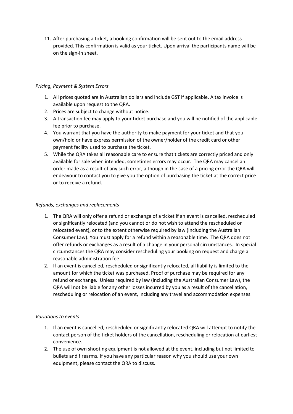11. After purchasing a ticket, a booking confirmation will be sent out to the email address provided. This confirmation is valid as your ticket. Upon arrival the participants name will be on the sign-in sheet.

# *Pricing, Payment & System Errors*

- 1. All prices quoted are in Australian dollars and include GST if applicable. A tax invoice is available upon request to the QRA.
- 2. Prices are subject to change without notice.
- 3. A transaction fee may apply to your ticket purchase and you will be notified of the applicable fee prior to purchase.
- 4. You warrant that you have the authority to make payment for your ticket and that you own/hold or have express permission of the owner/holder of the credit card or other payment facility used to purchase the ticket.
- 5. While the QRA takes all reasonable care to ensure that tickets are correctly priced and only available for sale when intended, sometimes errors may occur. The QRA may cancel an order made as a result of any such error, although in the case of a pricing error the QRA will endeavour to contact you to give you the option of purchasing the ticket at the correct price or to receive a refund.

## *Refunds, exchanges and replacements*

- 1. The QRA will only offer a refund or exchange of a ticket if an event is cancelled, rescheduled or significantly relocated (and you cannot or do not wish to attend the rescheduled or relocated event), or to the extent otherwise required by law (including the Australian Consumer Law). You must apply for a refund within a reasonable time. The QRA does not offer refunds or exchanges as a result of a change in your personal circumstances. In special circumstances the QRA may consider rescheduling your booking on request and charge a reasonable administration fee.
- 2. If an event is cancelled, rescheduled or significantly relocated, all liability is limited to the amount for which the ticket was purchased. Proof of purchase may be required for any refund or exchange. Unless required by law (including the Australian Consumer Law), the QRA will not be liable for any other losses incurred by you as a result of the cancellation, rescheduling or relocation of an event, including any travel and accommodation expenses.

#### *Variations to events*

- 1. If an event is cancelled, rescheduled or significantly relocated QRA will attempt to notify the contact person of the ticket holders of the cancellation, rescheduling or relocation at earliest convenience.
- 2. The use of own shooting equipment is not allowed at the event, including but not limited to bullets and firearms. If you have any particular reason why you should use your own equipment, please contact the QRA to discuss.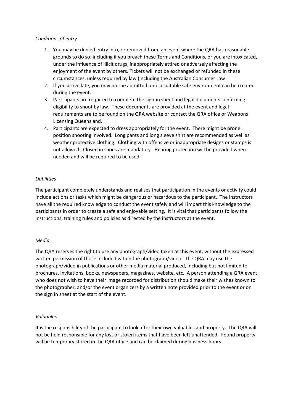## *Conditions of entry*

- 1. You may be denied entry into, or removed from, an event where the QRA has reasonable grounds to do so, including if you breach these Terms and Conditions, or you are intoxicated, under the influence of illicit drugs, inappropriately attired or adversely affecting the enjoyment of the event by others. Tickets will not be exchanged or refunded in these circumstances, unless required by law (including the Australian Consumer Law
- 2. If you arrive late, you may not be admitted until a suitable safe environment can be created during the event.
- 3. Participants are required to complete the sign-in sheet and legal documents confirming eligibility to shoot by law. These documents are provided at the event and legal requirements are to be found on the QRA website or contact the QRA office or Weapons Licensing Queensland.
- 4. Participants are expected to dress appropriately for the event. There might be prone position shooting involved. Long pants and long sleeve shirt are recommended as well as weather protective clothing. Clothing with offensive or inappropriate designs or stamps is not allowed. Closed in shoes are mandatory. Hearing protection will be provided when needed and will be required to be used.

## *Liabilities*

The participant completely understands and realises that participation in the events or activity could include actions or tasks which might be dangerous or hazardous to the participant. The instructors have all the required knowledge to conduct the event safely and will impart this knowledge to the participants in order to create a safe and enjoyable setting. It is vital that participants follow the instructions, training rules and policies as directed by the instructors at the event.

#### *Media*

The QRA reserves the right to use any photograph/video taken at this event, without the expressed written permission of those included within the photograph/video. The QRA may use the photograph/video in publications or other media material produced, including but not limited to brochures, invitations, books, newspapers, magazines, website, etc. A person attending a QRA event who does not wish to have their image recorded for distribution should make their wishes known to the photographer, and/or the event organizers by a written note provided prior to the event or on the sign in sheet at the start of the event.

#### *Valuables*

It is the responsibility of the participant to look after their own valuables and property. The QRA will not be held responsible for any lost or stolen items that have been left unattended. Found property will be temporary stored in the QRA office and can be claimed during business hours.